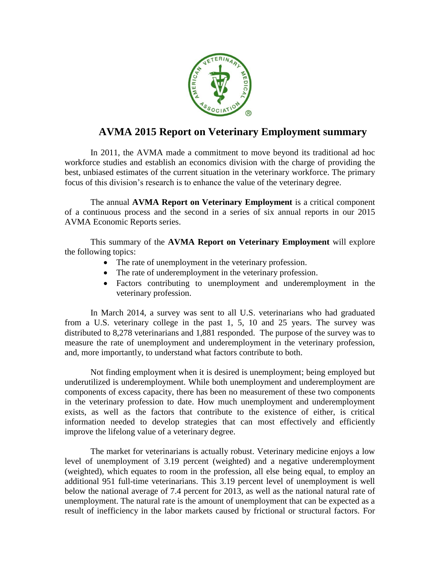

## **AVMA 2015 Report on Veterinary Employment summary**

In 2011, the AVMA made a commitment to move beyond its traditional ad hoc workforce studies and establish an economics division with the charge of providing the best, unbiased estimates of the current situation in the veterinary workforce. The primary focus of this division's research is to enhance the value of the veterinary degree.

The annual **AVMA Report on Veterinary Employment** is a critical component of a continuous process and the second in a series of six annual reports in our 2015 AVMA Economic Reports series.

This summary of the **AVMA Report on Veterinary Employment** will explore the following topics:

- The rate of unemployment in the veterinary profession.
- The rate of underemployment in the veterinary profession.
- Factors contributing to unemployment and underemployment in the veterinary profession.

In March 2014, a survey was sent to all U.S. veterinarians who had graduated from a U.S. veterinary college in the past 1, 5, 10 and 25 years. The survey was distributed to 8,278 veterinarians and 1,881 responded. The purpose of the survey was to measure the rate of unemployment and underemployment in the veterinary profession, and, more importantly, to understand what factors contribute to both.

Not finding employment when it is desired is unemployment; being employed but underutilized is underemployment. While both unemployment and underemployment are components of excess capacity, there has been no measurement of these two components in the veterinary profession to date. How much unemployment and underemployment exists, as well as the factors that contribute to the existence of either, is critical information needed to develop strategies that can most effectively and efficiently improve the lifelong value of a veterinary degree.

The market for veterinarians is actually robust. Veterinary medicine enjoys a low level of unemployment of 3.19 percent (weighted) and a negative underemployment (weighted), which equates to room in the profession, all else being equal, to employ an additional 951 full-time veterinarians. This 3.19 percent level of unemployment is well below the national average of 7.4 percent for 2013, as well as the national natural rate of unemployment. The natural rate is the amount of unemployment that can be expected as a result of inefficiency in the labor markets caused by frictional or structural factors. For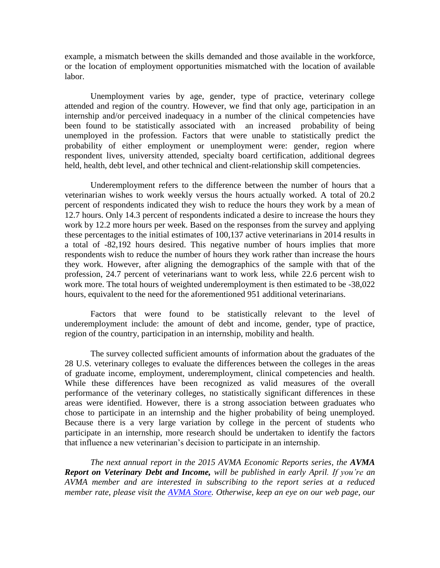example, a mismatch between the skills demanded and those available in the workforce, or the location of employment opportunities mismatched with the location of available labor.

Unemployment varies by age, gender, type of practice, veterinary college attended and region of the country. However, we find that only age, participation in an internship and/or perceived inadequacy in a number of the clinical competencies have been found to be statistically associated with an increased probability of being unemployed in the profession. Factors that were unable to statistically predict the probability of either employment or unemployment were: gender, region where respondent lives, university attended, specialty board certification, additional degrees held, health, debt level, and other technical and client-relationship skill competencies.

Underemployment refers to the difference between the number of hours that a veterinarian wishes to work weekly versus the hours actually worked. A total of 20.2 percent of respondents indicated they wish to reduce the hours they work by a mean of 12.7 hours. Only 14.3 percent of respondents indicated a desire to increase the hours they work by 12.2 more hours per week. Based on the responses from the survey and applying these percentages to the initial estimates of 100,137 active veterinarians in 2014 results in a total of -82,192 hours desired. This negative number of hours implies that more respondents wish to reduce the number of hours they work rather than increase the hours they work. However, after aligning the demographics of the sample with that of the profession, 24.7 percent of veterinarians want to work less, while 22.6 percent wish to work more. The total hours of weighted underemployment is then estimated to be -38,022 hours, equivalent to the need for the aforementioned 951 additional veterinarians.

Factors that were found to be statistically relevant to the level of underemployment include: the amount of debt and income, gender, type of practice, region of the country, participation in an internship, mobility and health.

The survey collected sufficient amounts of information about the graduates of the 28 U.S. veterinary colleges to evaluate the differences between the colleges in the areas of graduate income, employment, underemployment, clinical competencies and health. While these differences have been recognized as valid measures of the overall performance of the veterinary colleges, no statistically significant differences in these areas were identified. However, there is a strong association between graduates who chose to participate in an internship and the higher probability of being unemployed. Because there is a very large variation by college in the percent of students who participate in an internship, more research should be undertaken to identify the factors that influence a new veterinarian's decision to participate in an internship.

*The next annual report in the 2015 AVMA Economic Reports series, the AVMA Report on Veterinary Debt and Income, will be published in early April. If you're an AVMA member and are interested in subscribing to the report series at a reduced member rate, please visit the [AVMA Store.](https://ebusiness.avma.org/ProductCatalog/ProductCategory.aspx?ID=120) Otherwise, keep an eye on our web page, our*